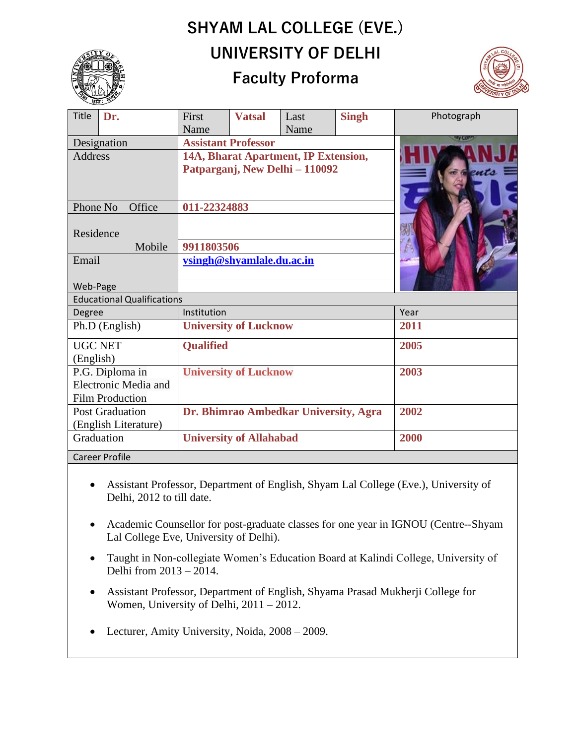## **SHYAM LAL COLLEGE (EVE.) UNIVERSITY OF DELHI**



## **Faculty Proforma**



| Title                             | Dr. | First                                 | <b>Vatsal</b> | Last | <b>Singh</b> | Photograph     |
|-----------------------------------|-----|---------------------------------------|---------------|------|--------------|----------------|
|                                   |     | Name                                  |               | Name |              | <b>AAA</b> COM |
| Designation                       |     | <b>Assistant Professor</b>            |               |      |              |                |
| <b>Address</b>                    |     | 14A, Bharat Apartment, IP Extension,  |               |      |              |                |
|                                   |     | Patparganj, New Delhi - 110092        |               |      |              |                |
|                                   |     |                                       |               |      |              |                |
| Phone No<br>Office                |     | 011-22324883                          |               |      |              |                |
|                                   |     |                                       |               |      |              |                |
| Residence                         |     |                                       |               |      |              |                |
| Mobile                            |     | 9911803506                            |               |      |              |                |
| Email                             |     | vsingh@shyamlale.du.ac.in             |               |      |              |                |
|                                   |     |                                       |               |      |              |                |
| Web-Page                          |     |                                       |               |      |              |                |
| <b>Educational Qualifications</b> |     |                                       |               |      |              |                |
| Degree                            |     | Institution                           |               |      |              | Year           |
| Ph.D (English)                    |     | <b>University of Lucknow</b>          |               |      |              | 2011           |
| <b>UGC NET</b>                    |     | <b>Qualified</b>                      |               |      |              | 2005           |
| (English)                         |     |                                       |               |      |              |                |
| P.G. Diploma in                   |     | <b>University of Lucknow</b>          |               |      |              | 2003           |
| Electronic Media and              |     |                                       |               |      |              |                |
| <b>Film Production</b>            |     |                                       |               |      |              |                |
| <b>Post Graduation</b>            |     | Dr. Bhimrao Ambedkar University, Agra |               |      | 2002         |                |
| (English Literature)              |     |                                       |               |      |              |                |
| Graduation                        |     | <b>University of Allahabad</b>        |               |      | 2000         |                |
| <b>Career Profile</b>             |     |                                       |               |      |              |                |

- Assistant Professor, Department of English, Shyam Lal College (Eve.), University of Delhi, 2012 to till date.
- Academic Counsellor for post-graduate classes for one year in IGNOU (Centre--Shyam Lal College Eve, University of Delhi).
- Taught in Non-collegiate Women's Education Board at Kalindi College, University of Delhi from 2013 – 2014.
- Assistant Professor, Department of English, Shyama Prasad Mukherji College for Women, University of Delhi, 2011 – 2012.
- Lecturer, Amity University, Noida, 2008 2009.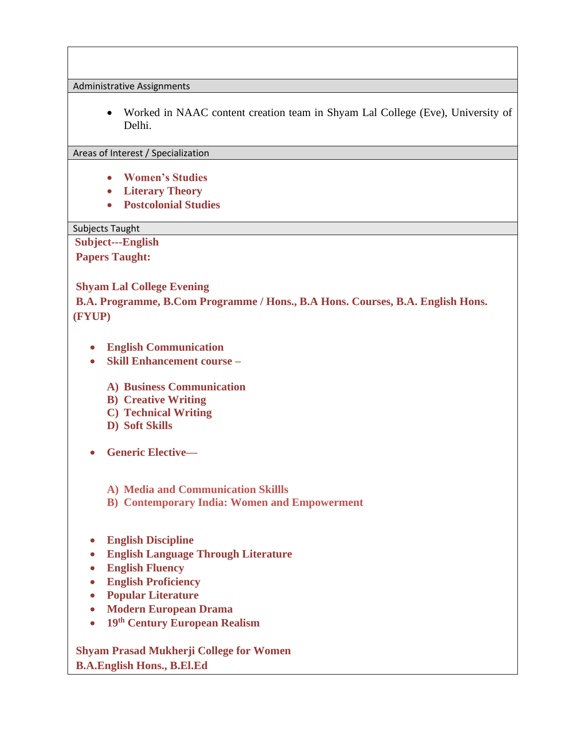Administrative Assignments

• Worked in NAAC content creation team in Shyam Lal College (Eve), University of Delhi.

## Areas of Interest / Specialization

- **Women's Studies**
- **Literary Theory**
- **Postcolonial Studies**

## Subjects Taught

**Subject---English**

**Papers Taught:**

**Shyam Lal College Evening**

**B.A. Programme, B.Com Programme / Hons., B.A Hons. Courses, B.A. English Hons. (FYUP)**

- **English Communication**
- **Skill Enhancement course –**
	- **A) Business Communication**
	- **B) Creative Writing**
	- **C) Technical Writing**
	- **D) Soft Skills**
- **Generic Elective—**
	- **A) Media and Communication Skillls**
	- **B) Contemporary India: Women and Empowerment**
- **English Discipline**
- **English Language Through Literature**
- **English Fluency**
- **English Proficiency**
- **Popular Literature**
- **Modern European Drama**
- **19th Century European Realism**

**Shyam Prasad Mukherji College for Women B.A.English Hons., B.El.Ed**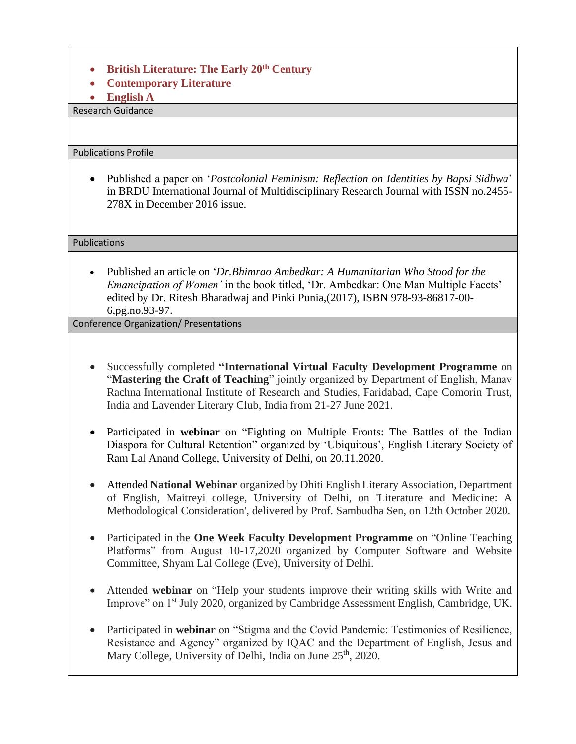- **British Literature: The Early 20th Century**
- **Contemporary Literature**
- **English A**

Research Guidance

Publications Profile

• Published a paper on '*Postcolonial Feminism: Reflection on Identities by Bapsi Sidhwa*' in BRDU International Journal of Multidisciplinary Research Journal with ISSN no.2455- 278X in December 2016 issue.

Publications

• Published an article on '*Dr.Bhimrao Ambedkar: A Humanitarian Who Stood for the Emancipation of Women'* in the book titled, 'Dr. Ambedkar: One Man Multiple Facets' edited by Dr. Ritesh Bharadwaj and Pinki Punia,(2017), ISBN 978-93-86817-00- 6,pg.no.93-97.

Conference Organization/ Presentations

- Successfully completed **"International Virtual Faculty Development Programme** on "**Mastering the Craft of Teaching**" jointly organized by Department of English, Manav Rachna International Institute of Research and Studies, Faridabad, Cape Comorin Trust, India and Lavender Literary Club, India from 21-27 June 2021.
- Participated in **webinar** on "Fighting on Multiple Fronts: The Battles of the Indian Diaspora for Cultural Retention" organized by 'Ubiquitous', English Literary Society of Ram Lal Anand College, University of Delhi, on 20.11.2020.
- Attended **National Webinar** organized by Dhiti English Literary Association, Department of English, Maitreyi college, University of Delhi, on 'Literature and Medicine: A Methodological Consideration', delivered by Prof. Sambudha Sen, on 12th October 2020.
- Participated in the **One Week Faculty Development Programme** on "Online Teaching Platforms" from August 10-17,2020 organized by Computer Software and Website Committee, Shyam Lal College (Eve), University of Delhi.
- Attended **webinar** on "Help your students improve their writing skills with Write and Improve" on 1st July 2020, organized by Cambridge Assessment English, Cambridge, UK.
- Participated in **webinar** on "Stigma and the Covid Pandemic: Testimonies of Resilience, Resistance and Agency" organized by IQAC and the Department of English, Jesus and Mary College, University of Delhi, India on June 25<sup>th</sup>, 2020.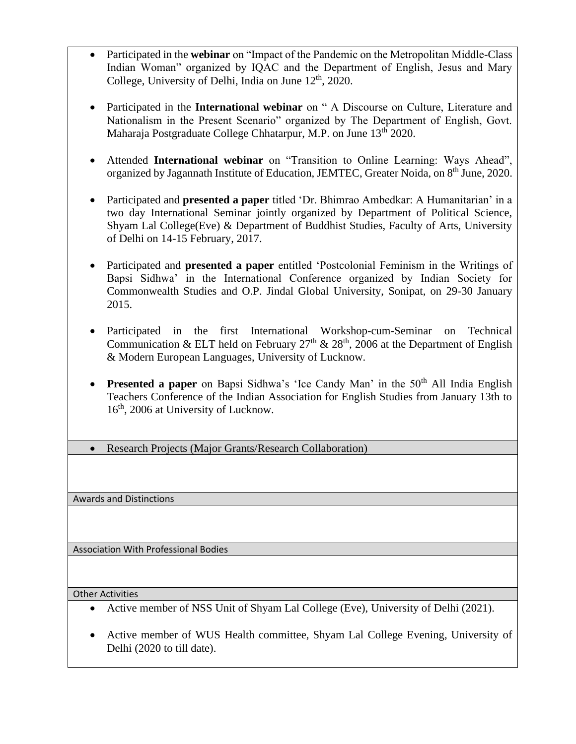- Participated in the **webinar** on "Impact of the Pandemic on the Metropolitan Middle-Class Indian Woman" organized by IQAC and the Department of English, Jesus and Mary College, University of Delhi, India on June  $12<sup>th</sup>$ , 2020.
- Participated in the **International webinar** on " A Discourse on Culture, Literature and Nationalism in the Present Scenario" organized by The Department of English, Govt. Maharaja Postgraduate College Chhatarpur, M.P. on June 13<sup>th</sup> 2020.
- Attended **International webinar** on "Transition to Online Learning: Ways Ahead", organized by Jagannath Institute of Education, JEMTEC, Greater Noida, on 8<sup>th</sup> June, 2020.
- Participated and **presented a paper** titled 'Dr. Bhimrao Ambedkar: A Humanitarian' in a two day International Seminar jointly organized by Department of Political Science, Shyam Lal College(Eve) & Department of Buddhist Studies, Faculty of Arts, University of Delhi on 14-15 February, 2017.
- Participated and **presented a paper** entitled 'Postcolonial Feminism in the Writings of Bapsi Sidhwa' in the International Conference organized by Indian Society for Commonwealth Studies and O.P. Jindal Global University, Sonipat, on 29-30 January 2015.
- Participated in the first International Workshop-cum-Seminar on Technical Communication & ELT held on February 27<sup>th</sup> & 28<sup>th</sup>, 2006 at the Department of English & Modern European Languages, University of Lucknow.
- **Presented a paper** on Bapsi Sidhwa's 'Ice Candy Man' in the  $50<sup>th</sup>$  All India English Teachers Conference of the Indian Association for English Studies from January 13th to 16<sup>th</sup>, 2006 at University of Lucknow.
- Research Projects (Major Grants/Research Collaboration)

Awards and Distinctions

Association With Professional Bodies

Other Activities

- Active member of NSS Unit of Shyam Lal College (Eve), University of Delhi (2021).
- Active member of WUS Health committee, Shyam Lal College Evening, University of Delhi (2020 to till date).